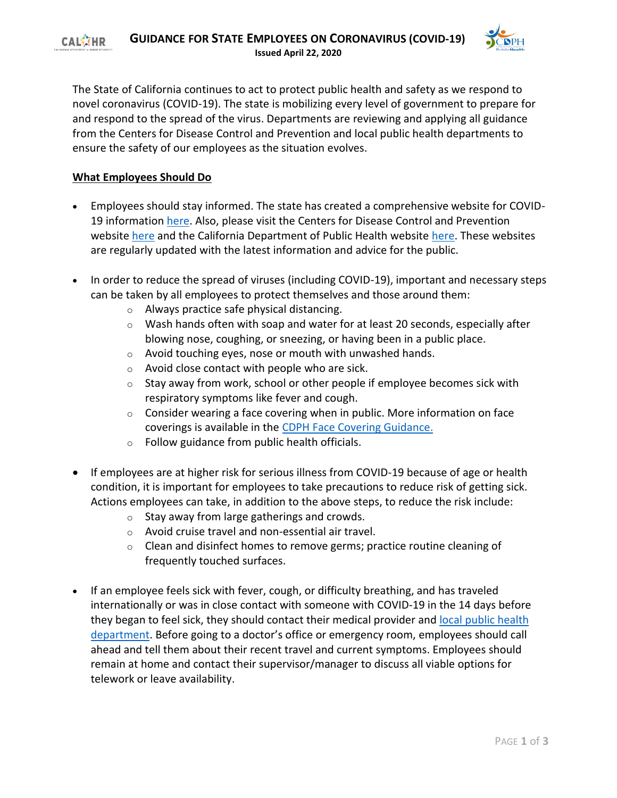

The State of California continues to act to protect public health and safety as we respond to novel coronavirus (COVID-19). The state is mobilizing every level of government to prepare for and respond to the spread of the virus. Departments are reviewing and applying all guidance from the Centers for Disease Control and Prevention and local public health departments to ensure the safety of our employees as the situation evolves.

# **What Employees Should Do**

- Employees should stay informed. The state has created a comprehensive website for COVID19 information [here.](https://www.covid19.ca.gov/) Also, please visit the Centers for Disease Control and Prevention website [here](https://gcc02.safelinks.protection.outlook.com/?url=https%3A%2F%2Furldefense.proofpoint.com%2Fv2%2Furl%3Fu%3Dhttps-3A__gcc01.safelinks.protection.outlook.com_-3Furl-3Dhttps-253A-252F-252Fwww.cdc.gov-252Fcoronavirus-252F2019-2Dncov-252Findex.html-26data-3D02-257C01-257CMarko.Mijic-2540chhs.ca.gov-257C231591c6c9704d1886f108d7aa7e6303-257C265c2dcd2a6e43aab2e826421a8c8526-257C0-257C0-257C637165332126975070-26sdata-3Dve1gmzjGtf9Mce5evZLFjU4srvSSTvtBl8x5-252ByjgWBE-253D-26reserved-3D0%26d%3DDwMFAg%26c%3DLr0a7ed3egkbwePCNW4ROg%26r%3DeusJj3hEdJ_1VG3vcxKuq-FA7AyIdOT-PWyVku4T_x4%26m%3DHLNCztjhAFFeNKj7Mc2RXKWbs4RB09c-o5fpJvkTO04%26s%3D3qt4lWp1dDX5yw-ZL9o54wyH-oA3CYzuEJJE3W3YiY4%26e%3D&data=02%7C01%7Cjulie.lee%40govops.ca.gov%7C2d36c17d7caa4b538d4108d7bcab4e26%7C68a88534151d4e79804609be7890656c%7C0%7C0%7C637185316251922036&sdata=ubhQ4%2BdW2ahIS1zeog8gpyj6JID3fsMqm2Nu0pr0axM%3D&reserved=0) and the California Department of Public Health website [here.](https://gcc02.safelinks.protection.outlook.com/?url=https%3A%2F%2Furldefense.proofpoint.com%2Fv2%2Furl%3Fu%3Dhttps-3A__gcc01.safelinks.protection.outlook.com_-3Furl-3Dhttps-253A-252F-252Fwww.cdph.ca.gov-252FPrograms-252FCID-252FDCDC-252FPages-252FImmunization-252FnCOV2019.aspx-26data-3D02-257C01-257CMarko.Mijic-2540chhs.ca.gov-257C231591c6c9704d1886f108d7aa7e6303-257C265c2dcd2a6e43aab2e826421a8c8526-257C0-257C0-257C637165332126985034-26sdata-3D2EJUW0qeym05yjhi-252BM2MW6zcBLlEMqM6kOAeyMTyMvU-253D-26reserved-3D0%26d%3DDwMFAg%26c%3DLr0a7ed3egkbwePCNW4ROg%26r%3DeusJj3hEdJ_1VG3vcxKuq-FA7AyIdOT-PWyVku4T_x4%26m%3DHLNCztjhAFFeNKj7Mc2RXKWbs4RB09c-o5fpJvkTO04%26s%3DQzYOOb1e37LLX2Yux19XZqLz2CWI8Ol9yrZRKxpMN1Q%26e%3D&data=02%7C01%7Cjulie.lee%40govops.ca.gov%7C2d36c17d7caa4b538d4108d7bcab4e26%7C68a88534151d4e79804609be7890656c%7C0%7C0%7C637185316251931990&sdata=FiG3teb%2Fn3F9dT36WLOrRleQ7%2FjpiZz9ue8OKL0zQmI%3D&reserved=0) These websites are regularly updated with the latest information and advice for the public.
- In order to reduce the spread of viruses (including COVID-19), important and necessary steps can be taken by all employees to protect themselves and those around them:
	- o Always practice safe physical distancing.
	- $\circ$  Wash hands often with soap and water for at least 20 seconds, especially after blowing nose, coughing, or sneezing, or having been in a public place.
	- o Avoid touching eyes, nose or mouth with unwashed hands.
	- o Avoid close contact with people who are sick.
	- $\circ$  Stay away from work, school or other people if employee becomes sick with respiratory symptoms like fever and cough.
	- $\circ$  Consider wearing a face covering when in public. More information on face coverings is available in the [CDPH Face Covering Guidance.](https://www.cdph.ca.gov/Programs/CID/DCDC/Pages/Face-Coverings-Guidance.aspx)
	- $\circ$  Follow guidance from public health officials.
- If employees are at higher risk for serious illness from COVID-19 because of age or health condition, it is important for employees to take precautions to reduce risk of getting sick. Actions employees can take, in addition to the above steps, to reduce the risk include:
	- $\circ$  Stay away from large gatherings and crowds.
	- o Avoid cruise travel and non-essential air travel.
	- $\circ$  Clean and disinfect homes to remove germs; practice routine cleaning of frequently touched surfaces.
- If an employee feels sick with fever, cough, or difficulty breathing, and has traveled internationally or was in close contact with someone with COVID-19 in the 14 days before they began to feel sick, they should contact their medical provider and local public health [department.](https://www.cdph.ca.gov/Pages/LocalHealthServicesAndOffices.aspx) Before going to a doctor's office or emergency room, employees should call ahead and tell them about their recent travel and current symptoms. Employees should remain at home and contact their supervisor/manager to discuss all viable options for telework or leave availability.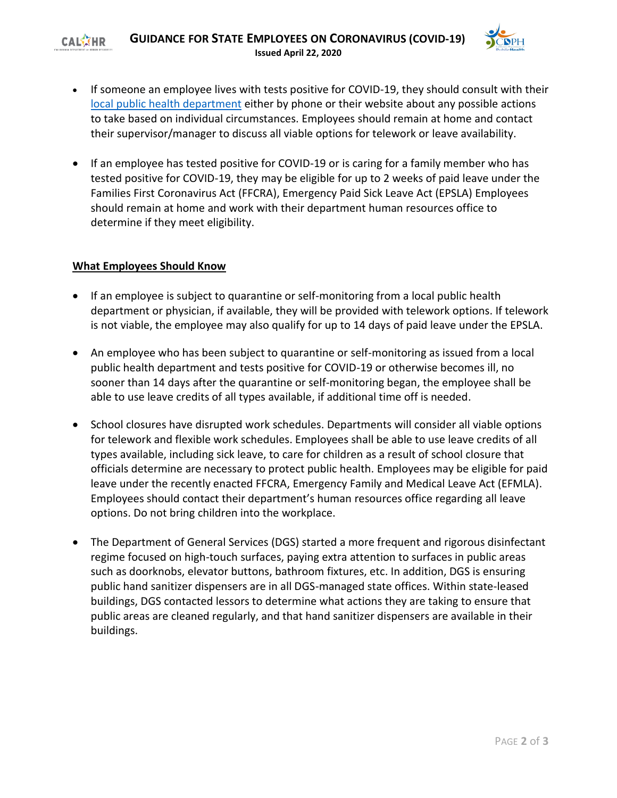#### **GUIDANCE FOR STATE EMPLOYEES ON CORONAVIRUS (COVID-19) CALKTHR Issued April 22, 2020**



- If someone an employee lives with tests positive for COVID-19, they should consult with their [local public health department](https://www.cdph.ca.gov/Pages/LocalHealthServicesAndOffices.aspx) either by phone or their website about any possible actions to take based on individual circumstances. Employees should remain at home and contact their supervisor/manager to discuss all viable options for telework or leave availability.
- If an employee has tested positive for COVID-19 or is caring for a family member who has tested positive for COVID-19, they may be eligible for up to 2 weeks of paid leave under the Families First Coronavirus Act (FFCRA), Emergency Paid Sick Leave Act (EPSLA) Employees should remain at home and work with their department human resources office to determine if they meet eligibility.

### **What Employees Should Know**

- If an employee is subject to quarantine or self-monitoring from a local public health department or physician, if available, they will be provided with telework options. If telework is not viable, the employee may also qualify for up to 14 days of paid leave under the EPSLA.
- An employee who has been subject to quarantine or self-monitoring as issued from a local public health department and tests positive for COVID-19 or otherwise becomes ill, no sooner than 14 days after the quarantine or self-monitoring began, the employee shall be able to use leave credits of all types available, if additional time off is needed.
- School closures have disrupted work schedules. Departments will consider all viable options for telework and flexible work schedules. Employees shall be able to use leave credits of all types available, including sick leave, to care for children as a result of school closure that officials determine are necessary to protect public health. Employees may be eligible for paid leave under the recently enacted FFCRA, Emergency Family and Medical Leave Act (EFMLA). Employees should contact their department's human resources office regarding all leave options. Do not bring children into the workplace.
- The Department of General Services (DGS) started a more frequent and rigorous disinfectant regime focused on high-touch surfaces, paying extra attention to surfaces in public areas such as doorknobs, elevator buttons, bathroom fixtures, etc. In addition, DGS is ensuring public hand sanitizer dispensers are in all DGS-managed state offices. Within state-leased buildings, DGS contacted lessors to determine what actions they are taking to ensure that public areas are cleaned regularly, and that hand sanitizer dispensers are available in their buildings.